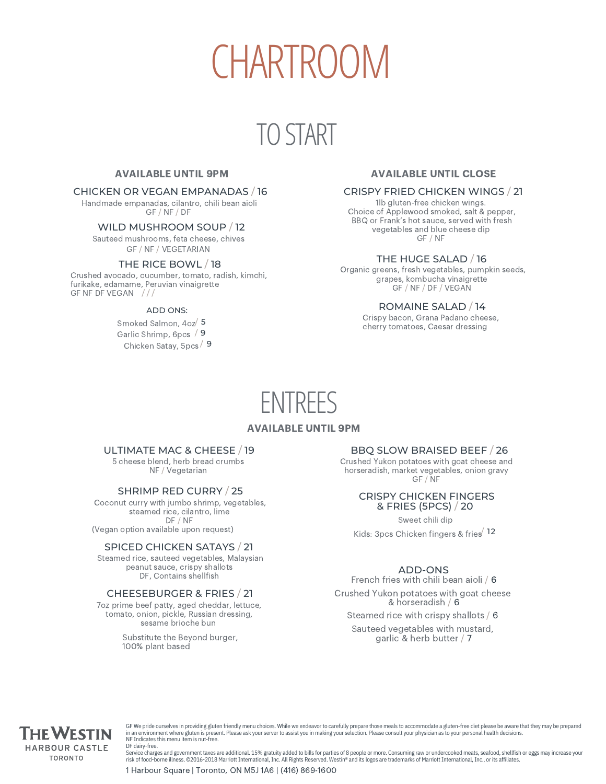# CHARTROOM

### TO START

#### AVAILABLE UNTIL 9PM

#### CHICKEN OR VEGAN EMPANADAS / 16

Handmade empanadas, cilantro, chili bean aioli GF / NF / DF

#### WILD MUSHROOM SOUP / 12

Sauteed mushrooms, feta cheese, chives GF / NF / VEGETARIAN

#### THE RICE BOWL / 18

Crushed avocado, cucumber, tomato, radish, kimchi, furikake, edamame, Peruvian vinaigrette GF NF DF VEGAN ///

#### ADD ONS:

Smoked Salmon, 4oz<sup>/</sup> 5 Garlic Shrimp, 6pcs / 9 Chicken Satay, 5pcs / 9

#### AVAILABLE UNTIL CLOSE

#### CRISPY FRIED CHICKEN WINGS / 21

1lb gluten-free chicken wings. Choice of Applewood smoked, salt & pepper, BBQ or Frank's hot sauce, served with fresh vegetables and blue cheese dip GF / NF

#### THE HUGE SALAD / 16

Organic greens, fresh vegetables, pumpkin seeds, grapes, kombucha vinaigrette GF / NF / DF / VEGAN

#### ROMAINE SALAD / 14

Crispy bacon, Grana Padano cheese, cherry tomatoes, Caesar dressing

### ENTREES

#### AVAILABLE UNTIL 9PM

#### ULTIMATE MAC & CHEESE / 19

5 cheese blend, herb bread crumbs NF / Vegetarian

#### SHRIMP RED CURRY / 25

Coconut curry with jumbo shrimp, vegetables, steamed rice, cilantro, lime DF / NF (Vegan option available upon request)

#### SPICED CHICKEN SATAYS / 21

Steamed rice, sauteed vegetables, Malaysian peanut sauce, crispy shallots DF, Contains shellfish

#### CHEESEBURGER & FRIES / 21

7oz prime beef patty, aged cheddar, lettuce, tomato, onion, pickle, Russian dressing, sesame brioche bun

> Substitute the Beyond burger, 100% plant based

#### BBQ SLOW BRAISED BEEF / 26

Crushed Yukon potatoes with goat cheese and horseradish, market vegetables, onion gravy GF / NF

#### CRISPY CHICKEN FINGERS & FRIES (5PCS) / 20

Sweet chili dip Kids: 3pcs Chicken fingers & fries 12

#### ADD-ONS

French fries with chili bean aioli / 6 Crushed Yukon potatoes with goat cheese & horseradish / 6

Steamed rice with crispy shallots / 6

Sauteed vegetables with mustard, garlic & herb butter / 7



GF We pride ourselves in providing gluten friendly menu choices. While we endeavor to carefully prepare those meals to accommodate a gluten-free diet please be aware that they may be prepared<br>in an environment where gluten DF dairy-free.

Service charges and government taxes are additional. 15% gratuity added to bills for parties of 8 people or more. Consuming raw or undercooked meats, seafood, shellfish or eggs may increase your risk of food-borne illness. ©2016-2018 Marriott International, Inc. All Rights Reserved. Westin® and its logos are trademarks of Marriott International, Inc., or its affiliates.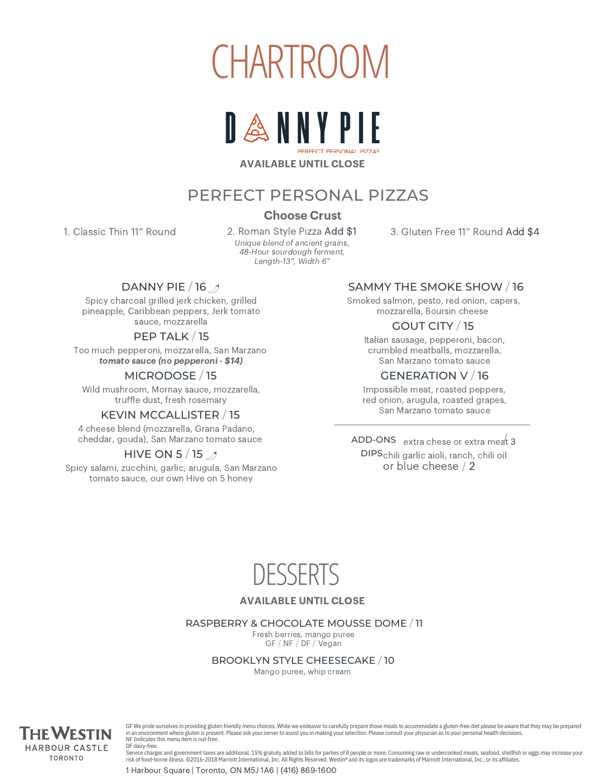



#### AVAILABLE UNTIL CLOSE

#### PERFECT PERSONAL PIZZAS

#### Choose Crust

1. Classic Thin 11" Round

2. Roman Style Pizza Add \$1 Unique blend of ancient grains, 48-Hour sourdough ferment, Length-13", Width 6"

3. Gluten Free 11" Round Add \$4

#### DANNY PIE / 16 /

Spicy charcoal grilled jerk chicken, grilled pineapple, Caribbean peppers, Jerk tomato sauce, mozzarella

#### PEP TALK / 15

Too much pepperoni, mozzarella, San Marzano tomato sauce (no pepperoni - \$14)

#### MICRODOSE / 15

Wild mushroom, Mornay sauce, mozzarella, truffle dust, fresh rosemary

#### KEVIN MCCALLISTER / 15

4 cheese blend (mozzarella, Grana Padano, cheddar, gouda), San Marzano tomato sauce

#### HIVE ON 5/15  $\mathcal{A}$

Spicy salami, zucchini, garlic, arugula, San Marzano tomato sauce, our own Hive on 5 honey

#### SAMMY THE SMOKE SHOW / 16

Smoked salmon, pesto, red onion, capers, mozzarella, Boursin cheese

#### GOUT CITY / 15

Italian sausage, pepperoni, bacon, crumbled meatballs, mozzarella, San Marzano tomato sauce

#### GENERATION V / 16

Impossible meat, roasted peppers, red onion, arugula, roasted grapes, San Marzano tomato sauce

ADD-ONS extra chese or extra meat 3 DIPS chili garlic aioli, ranch, chili oil or blue cheese / 2



#### AVAILABLE UNTIL CLOSE

#### RASPBERRY & CHOCOLATE MOUSSE DOME / 11

Fresh berries, mango puree GF / NF / DF / Vegan

BROOKLYN STYLE CHEESECAKE / 10

Mango puree, whip cream



GF We pride ourselves in providing gluten friendly menu choices. While we endeavor to carefully prepare those meals to accommodate a gluten-free diet please be aware that they may be prepared in an environment where gluten is present. Please ask your server to assist you in making your selection. Please consult your physician as to your personal health decisions. NF Indicates this menu item is nut-free. DF dairy-free.

Service charges and government taxes are additional. 15% gratuity added to bills for parties of 8 people or more. Consuming raw or undercooked meats, seafood, shellfish or eggs may increase your risk of food-borne illness. ©2016-2018 Marriott International, Inc. All Rights Reserved. Westin® and its logos are trademarks of Marriott International, Inc., or its affiliates.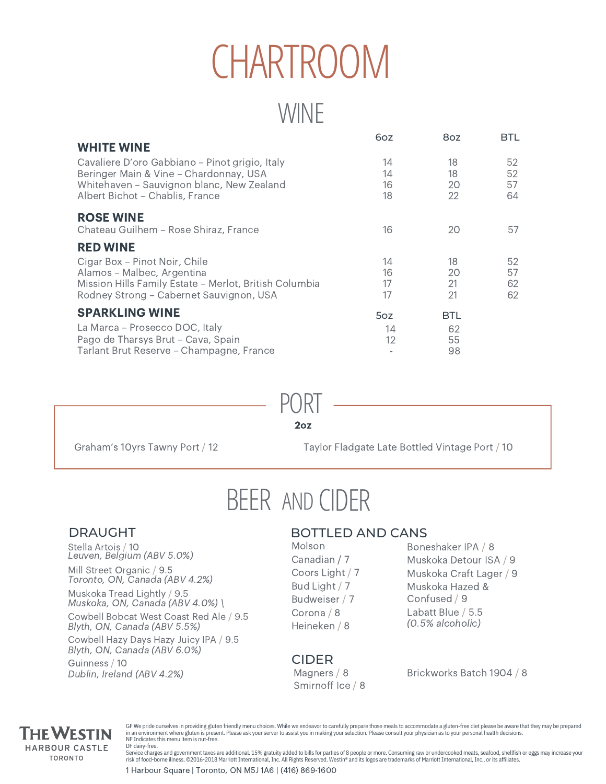# CHARTROOM

### **WINE**

|                                                        | 6oz | 8oz        | <b>BTL</b> |
|--------------------------------------------------------|-----|------------|------------|
| <b>WHITE WINE</b>                                      |     |            |            |
| Cavaliere D'oro Gabbiano - Pinot grigio, Italy         | 14  | 18         | 52         |
| Beringer Main & Vine - Chardonnay, USA                 | 14  | 18         | 52         |
| Whitehaven - Sauvignon blanc, New Zealand              | 16  | 20         | 57         |
| Albert Bichot - Chablis, France                        | 18  | 22         | 64         |
| <b>ROSE WINE</b>                                       |     |            |            |
| Chateau Guilhem - Rose Shiraz, France                  | 16  | 20         | 57         |
| <b>RED WINE</b>                                        |     |            |            |
| Cigar Box - Pinot Noir, Chile                          | 14  | 18         | 52         |
| Alamos - Malbec, Argentina                             | 16  | 20         | 57         |
| Mission Hills Family Estate - Merlot, British Columbia | 17  | 21         | 62         |
| Rodney Strong - Cabernet Sauvignon, USA                | 17  | 21         | 62         |
| <b>SPARKLING WINE</b>                                  | 5oz | <b>BTL</b> |            |
| La Marca - Prosecco DOC, Italy                         | 14  | 62         |            |
| Pago de Tharsys Brut - Cava, Spain                     | 12  | 55         |            |
| Tarlant Brut Reserve - Champagne, France               |     | 98         |            |

2oz PORT

Graham's 10yrs Tawny Port / 12

Taylor Fladgate Late Bottled Vintage Port / 10

## BEER AND CIDER

#### DRAUGHT

Stella Artois / 10 Leuven, Belgium (ABV 5.0%)

Mill Street Organic / 9.5 Toronto, ON, Canada (ABV 4.2%)

Muskoka Tread Lightly / 9.5 Muskoka, ON, Canada (ABV 4.0%) \

Cowbell Bobcat West Coast Red Ale / 9.5 Cowbell Hazy Days Hazy Juicy IPA / 9.5 Guinness / 10 Blyth, ON, Canada (ABV 5.5%) Blyth, ON, Canada (ABV 6.0%) Dublin, Ireland (ABV 4.2%)

#### BOTTLED AND CANS

Molson Canadian / 7 Coors Light / 7 Bud Light / 7 Budweiser / 7 Corona / 8 Heineken / 8

Boneshaker IPA / 8 Muskoka Detour ISA / 9 Muskoka Craft Lager / 9 Muskoka Hazed & Confused / 9 Labatt Blue / 5.5 (0.5% alcoholic)

CIDER

Magners / 8 Smirnoff Ice / 8 Brickworks Batch 1904 / 8



GF We pride ourselves in providing gluten friendly menu choices. While we endeavor to carefully prepare those meals to accommodate a gluten-free diet please be aware that they may be prepared in an environment where gluten is present. Please ask your server to assist you in making your selection. Please consult your physician as to your personal health decisions. NF Indicates this menu item is nut-free. DF dairy-free.

Service charges and government taxes are additional. 15% gratuity added to bills for parties of 8 people or more. Consuming raw or undercooked meats, seafood, shellfish or eggs may increase your risk of food-borne illness. ©2016-2018 Marriott International, Inc. All Rights Reserved. Westin® and its logos are trademarks of Marriott International, Inc., or its affiliates.

1 Harbour Square | Toronto, ON M5J 1A6 | (416) 869-1600